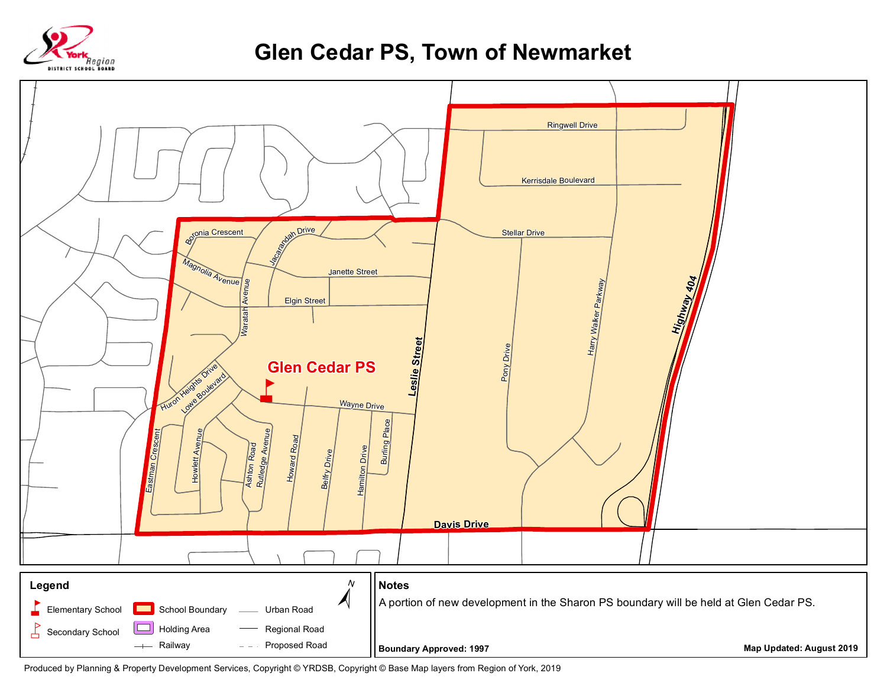

## **Glen Cedar PS, Town of Newmarket**



Produced by Planning & Property Development Services, Copyright © YRDSB, Copyright © Base Map layers from Region of York, 2019